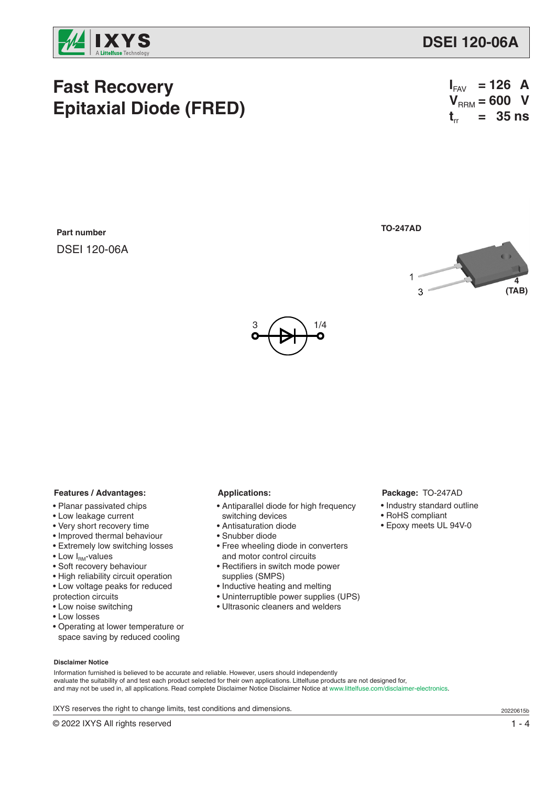

# **Fast Recovery Epitaxial Diode (FRED)**

| $\mathbf{I}_{\mathsf{FAV}}$ | $= 126$ A |  |
|-----------------------------|-----------|--|
| $VRRM = 600 V$              |           |  |
| $t_{rr}$ = 35 ns            |           |  |

**Part number** DSEI 120-06A **TO-247AD**





## **Features / Advantages:**

- Planar passivated chips
- Low leakage current
- Very short recovery time
- Improved thermal behaviour
- Extremely low switching losses
- $\bullet$  Low  $I_{\text{RM}}$ -values
- Soft recovery behaviour
- High reliability circuit operation
- Low voltage peaks for reduced
- protection circuits
- Low noise switching
- Low losses
- Operating at lower temperature or space saving by reduced cooling

#### **Applications:**

- Antiparallel diode for high frequency switching devices
- Antisaturation diode
- Snubber diode
- Free wheeling diode in converters and motor control circuits
- Rectifiers in switch mode power supplies (SMPS)
- Inductive heating and melting
- Uninterruptible power supplies (UPS)
- Ultrasonic cleaners and welders

#### **Package:** TO-247AD

- Industry standard outline
- RoHS compliant
- Epoxy meets UL 94V-0

### **Disclaimer Notice**

Information furnished is believed to be accurate and reliable. However, users should independently evaluate the suitability of and test each product selected for their own applications. Littelfuse products are not designed for, and may not be used in, all applications. Read complete Disclaimer Notice Disclaimer Notice at www.littelfuse.com/disclaimer-electronics.

IXYS reserves the right to change limits, test conditions and dimensions.

© 2022 IXYS All rights reserved 1 - 4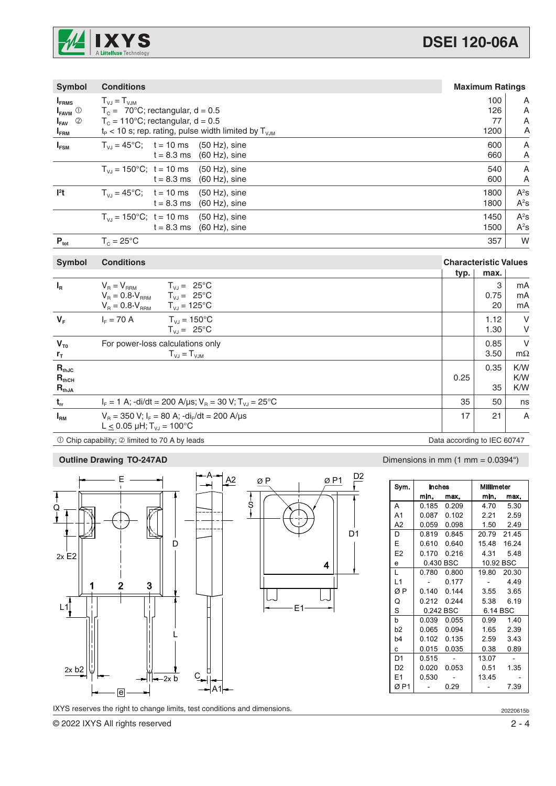

| <b>Symbol</b>                            | <b>Conditions</b>                                                      | <b>Maximum Ratings</b>       |      |        |
|------------------------------------------|------------------------------------------------------------------------|------------------------------|------|--------|
| $I_{FRMS}$                               | $T_{VJ} = T_{VJM}$                                                     |                              | 100  | A      |
| $\mathsf{I}_{\mathsf{FAVM}}$ $\mathbb O$ | $T_c = 70^{\circ}$ C; rectangular, d = 0.5                             |                              | 126  | Α      |
| $I_{FAV}$ 2                              | $T_c = 110^{\circ}$ C; rectangular, d = 0.5                            |                              | 77   | Α      |
| $I_{\texttt{FRM}}$                       | $t_{\rm p}$ < 10 s; rep. rating, pulse width limited by $T_{\rm V,IM}$ |                              | 1200 | Α      |
| $I_{FSM}$                                | $T_{V_1} = 45^{\circ}$ C; t = 10 ms (50 Hz), sine                      |                              | 600  | A      |
|                                          | $t = 8.3$ ms (60 Hz), sine                                             |                              | 660  | A      |
|                                          | $T_{V_1}$ = 150°C; t = 10 ms (50 Hz), sine                             |                              | 540  | Α      |
|                                          | $t = 8.3$ ms (60 Hz), sine                                             |                              | 600  | A      |
| $l2$ t                                   | $T_{V_1}$ = 45°C; t = 10 ms (50 Hz), sine                              |                              | 1800 | $A^2s$ |
|                                          | $t = 8.3$ ms $(60$ Hz), sine                                           |                              | 1800 | $A^2s$ |
|                                          | $T_{V1}$ = 150°C; t = 10 ms (50 Hz), sine                              |                              | 1450 | $A^2s$ |
|                                          | $t = 8.3$ ms (60 Hz), sine                                             |                              | 1500 | $A^2s$ |
| $P_{\text{tot}}$                         | $T_c = 25^{\circ}$ C                                                   |                              | 357  | W      |
|                                          |                                                                        |                              |      |        |
| <b>Symbol</b>                            | <b>Conditions</b>                                                      | <b>Characteristic Values</b> |      |        |
|                                          |                                                                        | typ.                         | max. |        |
| $I_R$                                    | $V_B = V_{BBM}$ $T_{VJ} = 25^{\circ}C$                                 |                              | 3    | mA     |
|                                          | $V_B = 0.8 \cdot V_{BBM}$ $T_{VJ} = 25^{\circ}C$                       |                              | 0.75 | mA     |

|                   | $V_B = 0.8 \cdot V_{BBM}$<br>$T_{V,I} = 125^{\circ}C$                                                  |                             | 20           | mA             |
|-------------------|--------------------------------------------------------------------------------------------------------|-----------------------------|--------------|----------------|
| $V_F$             | $T_{V1}$ = 150 $^{\circ}$ C<br>$I_{E} = 70 A$<br>$T_{V,I} = 25^{\circ}C$                               |                             | 1.12<br>1.30 | V<br>V         |
|                   |                                                                                                        |                             |              |                |
| $V_{T0}$          | For power-loss calculations only                                                                       |                             | 0.85         | V              |
| $r_{\rm T}$       | $T_{\nu J} = T_{\nu J M}$                                                                              |                             | 3.50         | $m\Omega$      |
| $R_{thJC}$        |                                                                                                        |                             | 0.35         | K/W            |
| $R_{\text{thCH}}$ |                                                                                                        | 0.25                        |              | K/W            |
| $R_{thJA}$        |                                                                                                        |                             | 35           | K/W            |
| $t_{rr}$          | $I_F = 1$ A; -di/dt = 200 A/µs; $V_B = 30$ V; $T_{VJ} = 25^{\circ}$ C                                  | 35                          | 50           | ns             |
| $I_{\rm RM}$      | $V_B = 350$ V; $I_F = 80$ A; $-dI_F/dt = 200$ A/ $\mu s$<br>L $\leq$ 0.05 µH; T <sub>VJ</sub> = 100 °C | 17                          | 21           | $\overline{A}$ |
|                   | 10 Chip capability; 2 limited to 70 A by leads                                                         | Data according to IEC 60747 |              |                |



IXYS reserves the right to change limits, test conditions and dimensions.

© 2022 IXYS All rights reserved 2 - 4

# **Outline Drawing TO-247AD** Dimensions in mm (1 mm = 0.0394")

| Sym.           | Millimeter<br>Inches |             |           |             |  |
|----------------|----------------------|-------------|-----------|-------------|--|
|                | min.                 | max.        | min.      | max.        |  |
| A              |                      | 0.185 0.209 |           | 4.70 5.30   |  |
| A1             |                      | 0.087 0.102 |           | 2.21 2.59   |  |
| A <sub>2</sub> |                      | 0.059 0.098 |           | 1.50 2.49   |  |
| D              | 0.819                | 0.845       |           | 20.79 21.45 |  |
| E              | 0.610                | 0.640       |           | 15.48 16.24 |  |
| E <sub>2</sub> | 0.170                | 0.216       | 4.31      | 5.48        |  |
| e              |                      | 0.430 BSC   | 10.92 BSC |             |  |
| L              | 0.780                | 0.800       |           | 19.80 20.30 |  |
| L1             |                      | 0.177       |           | 4.49        |  |
| ØΡ             | 0.140                | 0.144       | 3.55      | 3.65        |  |
| Q              |                      | 0.212 0.244 | 5.38      | 6.19        |  |
| S              | 0.242 BSC            |             | 6.14 BSC  |             |  |
| b              | 0.039                | 0.055       |           | 0.99 1.40   |  |
| b <sub>2</sub> | 0.065                | 0.094       |           | 1.65 2.39   |  |
| b4             | 0.102                | 0.135       |           | 2.59 3.43   |  |
| C.             | 0.015                | 0.035       | 0.38      | 0.89        |  |
| D <sub>1</sub> | 0.515                |             | 13.07     |             |  |
| D <sub>2</sub> | 0.020                | 0.053       | 0.51      | 1.35        |  |
| E <sub>1</sub> | 0.530                |             | 1345      |             |  |
| ØP1            |                      | 0.29        |           | 7.39        |  |

20220615b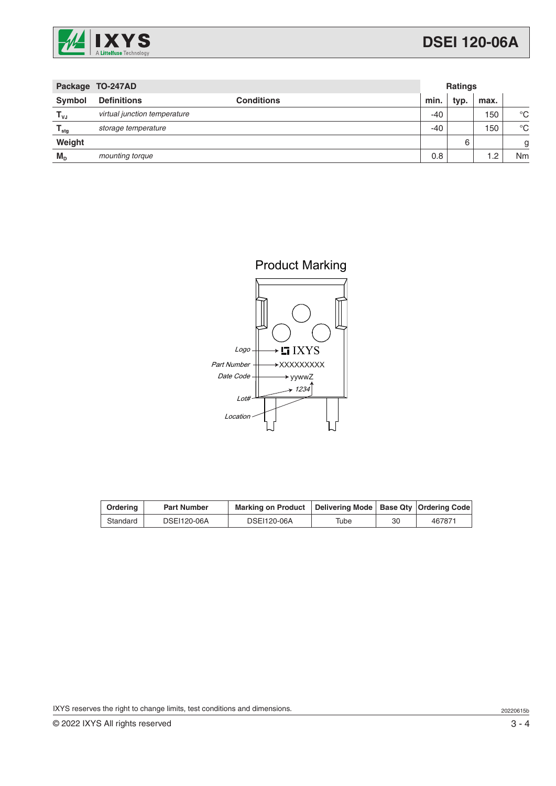

| Package TO-247AD          |                              | <b>Ratings</b>    |       |      |      |             |
|---------------------------|------------------------------|-------------------|-------|------|------|-------------|
| <b>Symbol</b>             | <b>Definitions</b>           | <b>Conditions</b> | min.  | typ. | max. |             |
| $T_{\nu J}$               | virtual junction temperature |                   | $-40$ |      | 150  | $^{\circ}C$ |
| $\mathsf{T}_{\text{stg}}$ | storage temperature          |                   | $-40$ |      | 150  | $^{\circ}C$ |
| Weight                    |                              |                   |       | 6    |      | g           |
| $M_{\text{D}}$            | mounting torque              |                   | 0.8   |      | 1.2  | Nm          |



| Ordering | <b>Part Number</b> | <b>Marking on Product</b> | Delivering Mode   Base Qty   Ordering Code |    |        |
|----------|--------------------|---------------------------|--------------------------------------------|----|--------|
| Standard | DSEI120-06A        | DSEI120-06A               | Tube                                       | 30 | 467871 |

IXYS reserves the right to change limits, test conditions and dimensions.